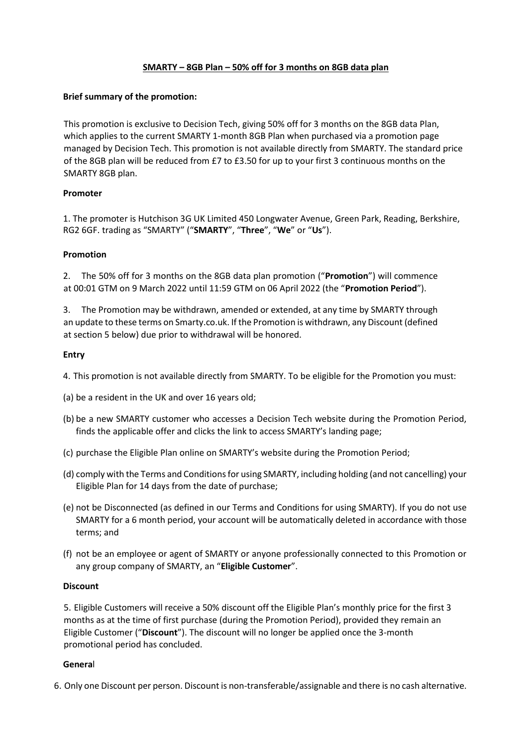# **SMARTY – 8GB Plan – 50% off for 3 months on 8GB data plan**

## **Brief summary of the promotion:**

This promotion is exclusive to Decision Tech, giving 50% off for 3 months on the 8GB data Plan, which applies to the current SMARTY 1-month 8GB Plan when purchased via a promotion page managed by Decision Tech. This promotion is not available directly from SMARTY. The standard price of the 8GB plan will be reduced from £7 to £3.50 for up to your first 3 continuous months on the SMARTY 8GB plan.

## **Promoter**

1. The promoter is Hutchison 3G UK Limited 450 Longwater Avenue, Green Park, Reading, Berkshire, RG2 6GF. trading as "SMARTY" ("**SMARTY**", "**Three**", "**We**" or "**Us**").

## **Promotion**

2. The 50% off for 3 months on the 8GB data plan promotion ("**Promotion**") will commence at 00:01 GTM on 9 March 2022 until 11:59 GTM on 06 April 2022 (the "**Promotion Period**").

3. The Promotion may be withdrawn, amended or extended, at any time by SMARTY through an update to these terms on Smarty.co.uk. If the Promotion is withdrawn, any Discount (defined at section 5 below) due prior to withdrawal will be honored.

## **Entry**

4. This promotion is not available directly from SMARTY. To be eligible for the Promotion you must:

- (a) be a resident in the UK and over 16 years old;
- (b) be a new SMARTY customer who accesses a Decision Tech website during the Promotion Period, finds the applicable offer and clicks the link to access SMARTY's landing page;
- (c) purchase the Eligible Plan online on SMARTY's website during the Promotion Period;
- (d) comply with the Terms and Conditions for using SMARTY, including holding (and not cancelling) your Eligible Plan for 14 days from the date of purchase;
- (e) not be Disconnected (as defined in our Terms and Conditions for using SMARTY). If you do not use SMARTY for a 6 month period, your account will be automatically deleted in accordance with those terms; and
- (f) not be an employee or agent of SMARTY or anyone professionally connected to this Promotion or any group company of SMARTY, an "**Eligible Customer**".

### **Discount**

5. Eligible Customers will receive a 50% discount off the Eligible Plan's monthly price for the first 3 months as at the time of first purchase (during the Promotion Period), provided they remain an Eligible Customer ("**Discount**"). The discount will no longer be applied once the 3-month promotional period has concluded.

### **Genera**l

6. Only one Discount per person. Discount is non-transferable/assignable and there is no cash alternative.